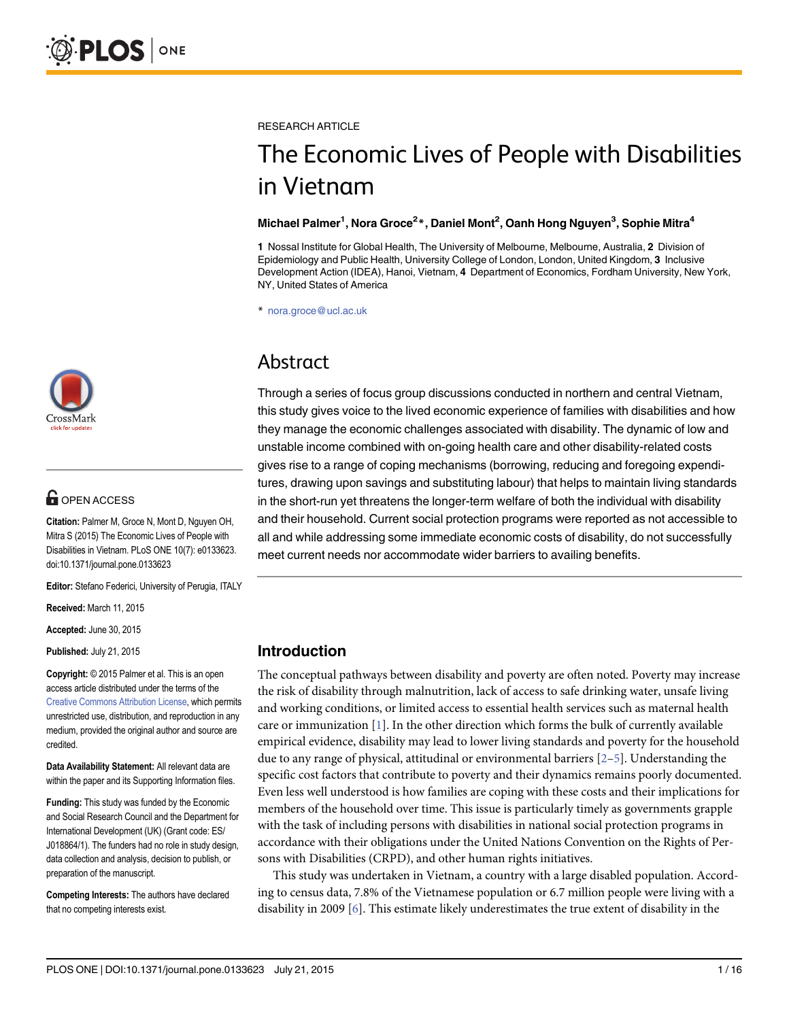

# **OPEN ACCESS**

Citation: Palmer M, Groce N, Mont D, Nguyen OH, Mitra S (2015) The Economic Lives of People with Disabilities in Vietnam. PLoS ONE 10(7): e0133623. doi:10.1371/journal.pone.0133623

Editor: Stefano Federici, University of Perugia, ITALY

Received: March 11, 2015

Accepted: June 30, 2015

Published: July 21, 2015

Copyright: © 2015 Palmer et al. This is an open access article distributed under the terms of the [Creative Commons Attribution License,](http://creativecommons.org/licenses/by/4.0/) which permits unrestricted use, distribution, and reproduction in any medium, provided the original author and source are credited.

Data Availability Statement: All relevant data are within the paper and its Supporting Information files.

Funding: This study was funded by the Economic and Social Research Council and the Department for International Development (UK) (Grant code: ES/ J018864/1). The funders had no role in study design, data collection and analysis, decision to publish, or preparation of the manuscript.

Competing Interests: The authors have declared that no competing interests exist.

<span id="page-0-0"></span>RESEARCH ARTICLE

# The Economic Lives of People with Disabilities in Vietnam

#### Michael Palmer<sup>1</sup>, Nora Groce<sup>2</sup>\*, Daniel Mont<sup>2</sup>, Oanh Hong Nguyen<sup>3</sup>, Sophie Mitra<sup>4</sup>

1 Nossal Institute for Global Health, The University of Melbourne, Melbourne, Australia, 2 Division of Epidemiology and Public Health, University College of London, London, United Kingdom, 3 Inclusive Development Action (IDEA), Hanoi, Vietnam, 4 Department of Economics, Fordham University, New York, NY, United States of America

\* nora.groce@ucl.ac.uk

# Abstract

Through a series of focus group discussions conducted in northern and central Vietnam, this study gives voice to the lived economic experience of families with disabilities and how they manage the economic challenges associated with disability. The dynamic of low and unstable income combined with on-going health care and other disability-related costs gives rise to a range of coping mechanisms (borrowing, reducing and foregoing expenditures, drawing upon savings and substituting labour) that helps to maintain living standards in the short-run yet threatens the longer-term welfare of both the individual with disability and their household. Current social protection programs were reported as not accessible to all and while addressing some immediate economic costs of disability, do not successfully meet current needs nor accommodate wider barriers to availing benefits.

# Introduction

The conceptual pathways between disability and poverty are often noted. Poverty may increase the risk of disability through malnutrition, lack of access to safe drinking water, unsafe living and working conditions, or limited access to essential health services such as maternal health care or immunization  $[1]$  $[1]$ . In the other direction which forms the bulk of currently available empirical evidence, disability may lead to lower living standards and poverty for the household due to any range of physical, attitudinal or environmental barriers  $[2-5]$  $[2-5]$  $[2-5]$  $[2-5]$  $[2-5]$ . Understanding the specific cost factors that contribute to poverty and their dynamics remains poorly documented. Even less well understood is how families are coping with these costs and their implications for members of the household over time. This issue is particularly timely as governments grapple with the task of including persons with disabilities in national social protection programs in accordance with their obligations under the United Nations Convention on the Rights of Persons with Disabilities (CRPD), and other human rights initiatives.

This study was undertaken in Vietnam, a country with a large disabled population. According to census data, 7.8% of the Vietnamese population or 6.7 million people were living with a disability in 2009  $[6]$  $[6]$ . This estimate likely underestimates the true extent of disability in the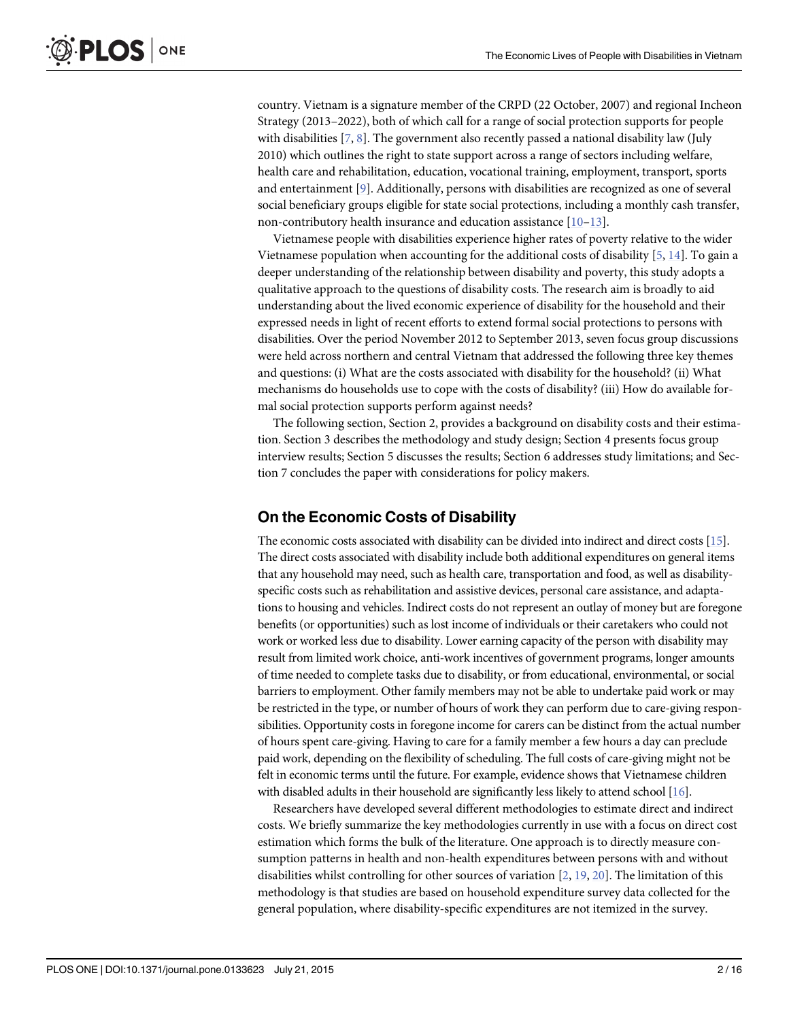<span id="page-1-0"></span>country. Vietnam is a signature member of the CRPD (22 October, 2007) and regional Incheon Strategy (2013–2022), both of which call for a range of social protection supports for people with disabilities  $[7, 8]$  $[7, 8]$  $[7, 8]$  $[7, 8]$ . The government also recently passed a national disability law (July 2010) which outlines the right to state support across a range of sectors including welfare, health care and rehabilitation, education, vocational training, employment, transport, sports and entertainment [\[9](#page-14-0)]. Additionally, persons with disabilities are recognized as one of several social beneficiary groups eligible for state social protections, including a monthly cash transfer, non-contributory health insurance and education assistance [\[10](#page-14-0)–[13](#page-14-0)].

Vietnamese people with disabilities experience higher rates of poverty relative to the wider Vietnamese population when accounting for the additional costs of disability  $[5, 14]$  $[5, 14]$  $[5, 14]$  $[5, 14]$ . To gain a deeper understanding of the relationship between disability and poverty, this study adopts a qualitative approach to the questions of disability costs. The research aim is broadly to aid understanding about the lived economic experience of disability for the household and their expressed needs in light of recent efforts to extend formal social protections to persons with disabilities. Over the period November 2012 to September 2013, seven focus group discussions were held across northern and central Vietnam that addressed the following three key themes and questions: (i) What are the costs associated with disability for the household? (ii) What mechanisms do households use to cope with the costs of disability? (iii) How do available formal social protection supports perform against needs?

The following section, Section 2, provides a background on disability costs and their estimation. Section 3 describes the methodology and study design; Section 4 presents focus group interview results; Section 5 discusses the results; Section 6 addresses study limitations; and Section 7 concludes the paper with considerations for policy makers.

# On the Economic Costs of Disability

The economic costs associated with disability can be divided into indirect and direct costs [\[15\]](#page-14-0). The direct costs associated with disability include both additional expenditures on general items that any household may need, such as health care, transportation and food, as well as disabilityspecific costs such as rehabilitation and assistive devices, personal care assistance, and adaptations to housing and vehicles. Indirect costs do not represent an outlay of money but are foregone benefits (or opportunities) such as lost income of individuals or their caretakers who could not work or worked less due to disability. Lower earning capacity of the person with disability may result from limited work choice, anti-work incentives of government programs, longer amounts of time needed to complete tasks due to disability, or from educational, environmental, or social barriers to employment. Other family members may not be able to undertake paid work or may be restricted in the type, or number of hours of work they can perform due to care-giving responsibilities. Opportunity costs in foregone income for carers can be distinct from the actual number of hours spent care-giving. Having to care for a family member a few hours a day can preclude paid work, depending on the flexibility of scheduling. The full costs of care-giving might not be felt in economic terms until the future. For example, evidence shows that Vietnamese children with disabled adults in their household are significantly less likely to attend school [\[16](#page-14-0)].

Researchers have developed several different methodologies to estimate direct and indirect costs. We briefly summarize the key methodologies currently in use with a focus on direct cost estimation which forms the bulk of the literature. One approach is to directly measure consumption patterns in health and non-health expenditures between persons with and without disabilities whilst controlling for other sources of variation [[2](#page-14-0), [19](#page-14-0), [20](#page-14-0)]. The limitation of this methodology is that studies are based on household expenditure survey data collected for the general population, where disability-specific expenditures are not itemized in the survey.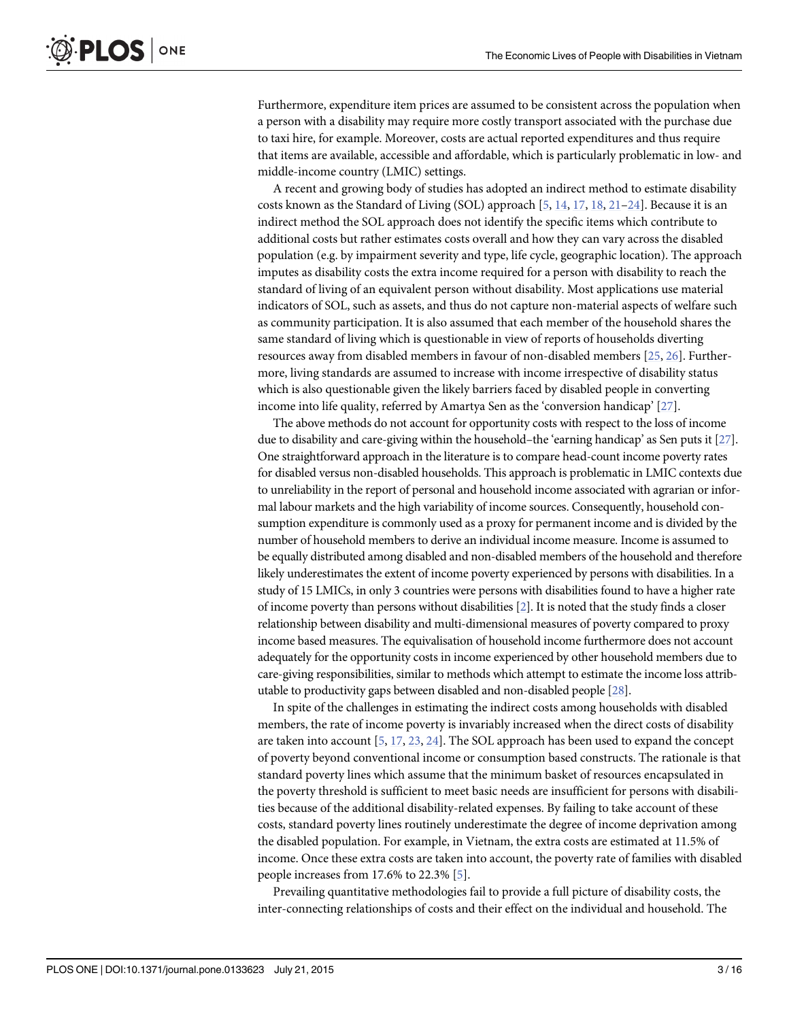<span id="page-2-0"></span>Furthermore, expenditure item prices are assumed to be consistent across the population when a person with a disability may require more costly transport associated with the purchase due to taxi hire, for example. Moreover, costs are actual reported expenditures and thus require that items are available, accessible and affordable, which is particularly problematic in low- and middle-income country (LMIC) settings.

A recent and growing body of studies has adopted an indirect method to estimate disability costs known as the Standard of Living (SOL) approach [\[5](#page-14-0), [14](#page-14-0), [17](#page-14-0), [18](#page-14-0), [21](#page-15-0)-[24\]](#page-15-0). Because it is an indirect method the SOL approach does not identify the specific items which contribute to additional costs but rather estimates costs overall and how they can vary across the disabled population (e.g. by impairment severity and type, life cycle, geographic location). The approach imputes as disability costs the extra income required for a person with disability to reach the standard of living of an equivalent person without disability. Most applications use material indicators of SOL, such as assets, and thus do not capture non-material aspects of welfare such as community participation. It is also assumed that each member of the household shares the same standard of living which is questionable in view of reports of households diverting resources away from disabled members in favour of non-disabled members [\[25,](#page-15-0) [26\]](#page-15-0). Furthermore, living standards are assumed to increase with income irrespective of disability status which is also questionable given the likely barriers faced by disabled people in converting income into life quality, referred by Amartya Sen as the 'conversion handicap' [\[27\]](#page-15-0).

The above methods do not account for opportunity costs with respect to the loss of income due to disability and care-giving within the household–the 'earning handicap' as Sen puts it  $[27]$  $[27]$ . One straightforward approach in the literature is to compare head-count income poverty rates for disabled versus non-disabled households. This approach is problematic in LMIC contexts due to unreliability in the report of personal and household income associated with agrarian or informal labour markets and the high variability of income sources. Consequently, household consumption expenditure is commonly used as a proxy for permanent income and is divided by the number of household members to derive an individual income measure. Income is assumed to be equally distributed among disabled and non-disabled members of the household and therefore likely underestimates the extent of income poverty experienced by persons with disabilities. In a study of 15 LMICs, in only 3 countries were persons with disabilities found to have a higher rate of income poverty than persons without disabilities [[2\]](#page-14-0). It is noted that the study finds a closer relationship between disability and multi-dimensional measures of poverty compared to proxy income based measures. The equivalisation of household income furthermore does not account adequately for the opportunity costs in income experienced by other household members due to care-giving responsibilities, similar to methods which attempt to estimate the income loss attributable to productivity gaps between disabled and non-disabled people [\[28](#page-15-0)].

In spite of the challenges in estimating the indirect costs among households with disabled members, the rate of income poverty is invariably increased when the direct costs of disability are taken into account  $[5, 17, 23, 24]$  $[5, 17, 23, 24]$  $[5, 17, 23, 24]$  $[5, 17, 23, 24]$  $[5, 17, 23, 24]$  $[5, 17, 23, 24]$  $[5, 17, 23, 24]$  $[5, 17, 23, 24]$  $[5, 17, 23, 24]$ . The SOL approach has been used to expand the concept of poverty beyond conventional income or consumption based constructs. The rationale is that standard poverty lines which assume that the minimum basket of resources encapsulated in the poverty threshold is sufficient to meet basic needs are insufficient for persons with disabilities because of the additional disability-related expenses. By failing to take account of these costs, standard poverty lines routinely underestimate the degree of income deprivation among the disabled population. For example, in Vietnam, the extra costs are estimated at 11.5% of income. Once these extra costs are taken into account, the poverty rate of families with disabled people increases from 17.6% to 22.3% [[5](#page-14-0)].

Prevailing quantitative methodologies fail to provide a full picture of disability costs, the inter-connecting relationships of costs and their effect on the individual and household. The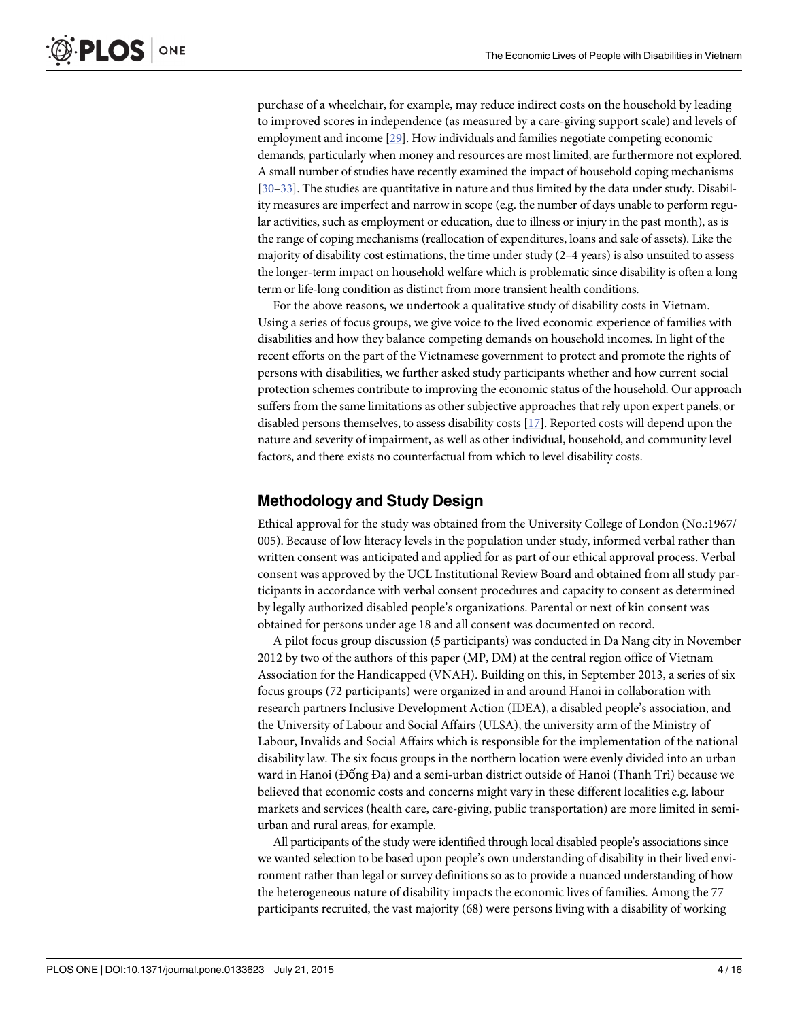<span id="page-3-0"></span>purchase of a wheelchair, for example, may reduce indirect costs on the household by leading to improved scores in independence (as measured by a care-giving support scale) and levels of employment and income [[29\]](#page-15-0). How individuals and families negotiate competing economic demands, particularly when money and resources are most limited, are furthermore not explored. A small number of studies have recently examined the impact of household coping mechanisms [\[30](#page-15-0)–[33\]](#page-15-0). The studies are quantitative in nature and thus limited by the data under study. Disability measures are imperfect and narrow in scope (e.g. the number of days unable to perform regular activities, such as employment or education, due to illness or injury in the past month), as is the range of coping mechanisms (reallocation of expenditures, loans and sale of assets). Like the majority of disability cost estimations, the time under study (2–4 years) is also unsuited to assess the longer-term impact on household welfare which is problematic since disability is often a long term or life-long condition as distinct from more transient health conditions.

For the above reasons, we undertook a qualitative study of disability costs in Vietnam. Using a series of focus groups, we give voice to the lived economic experience of families with disabilities and how they balance competing demands on household incomes. In light of the recent efforts on the part of the Vietnamese government to protect and promote the rights of persons with disabilities, we further asked study participants whether and how current social protection schemes contribute to improving the economic status of the household. Our approach suffers from the same limitations as other subjective approaches that rely upon expert panels, or disabled persons themselves, to assess disability costs [[17](#page-14-0)]. Reported costs will depend upon the nature and severity of impairment, as well as other individual, household, and community level factors, and there exists no counterfactual from which to level disability costs.

#### Methodology and Study Design

Ethical approval for the study was obtained from the University College of London (No.:1967/ 005). Because of low literacy levels in the population under study, informed verbal rather than written consent was anticipated and applied for as part of our ethical approval process. Verbal consent was approved by the UCL Institutional Review Board and obtained from all study participants in accordance with verbal consent procedures and capacity to consent as determined by legally authorized disabled people's organizations. Parental or next of kin consent was obtained for persons under age 18 and all consent was documented on record.

A pilot focus group discussion (5 participants) was conducted in Da Nang city in November 2012 by two of the authors of this paper (MP, DM) at the central region office of Vietnam Association for the Handicapped (VNAH). Building on this, in September 2013, a series of six focus groups (72 participants) were organized in and around Hanoi in collaboration with research partners Inclusive Development Action (IDEA), a disabled people's association, and the University of Labour and Social Affairs (ULSA), the university arm of the Ministry of Labour, Invalids and Social Affairs which is responsible for the implementation of the national disability law. The six focus groups in the northern location were evenly divided into an urban ward in Hanoi (Đống Đa) and a semi-urban district outside of Hanoi (Thanh Trì) because we believed that economic costs and concerns might vary in these different localities e.g. labour markets and services (health care, care-giving, public transportation) are more limited in semiurban and rural areas, for example.

All participants of the study were identified through local disabled people's associations since we wanted selection to be based upon people's own understanding of disability in their lived environment rather than legal or survey definitions so as to provide a nuanced understanding of how the heterogeneous nature of disability impacts the economic lives of families. Among the 77 participants recruited, the vast majority (68) were persons living with a disability of working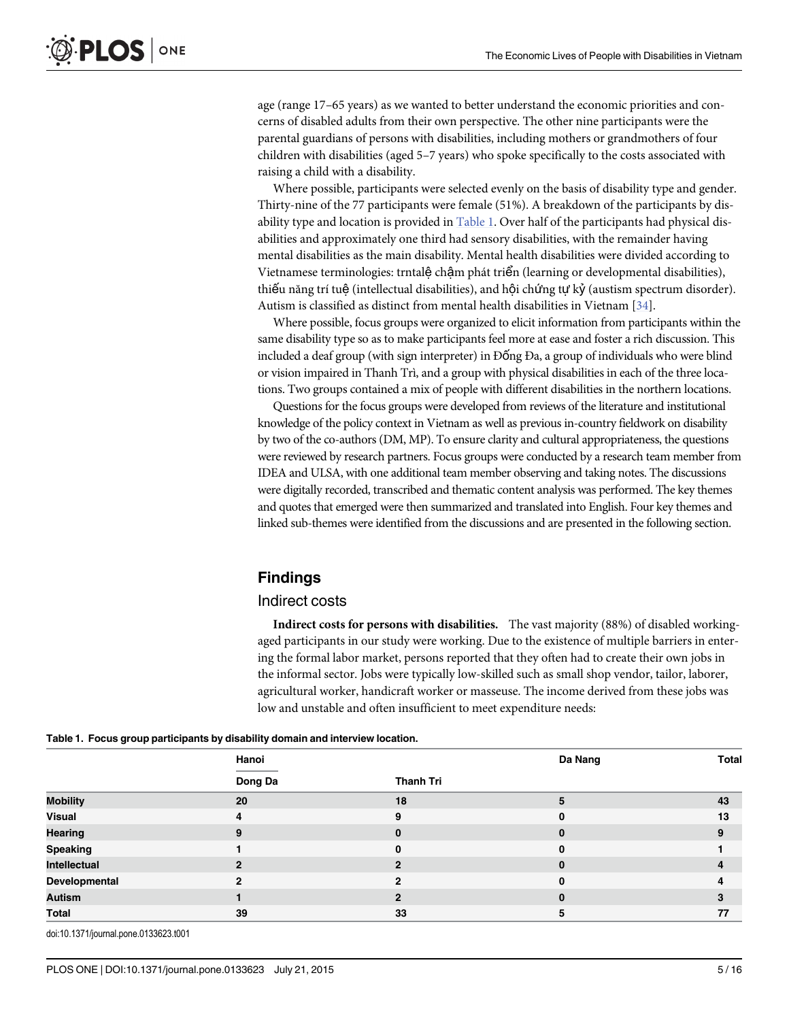<span id="page-4-0"></span>age (range 17–65 years) as we wanted to better understand the economic priorities and concerns of disabled adults from their own perspective. The other nine participants were the parental guardians of persons with disabilities, including mothers or grandmothers of four children with disabilities (aged 5–7 years) who spoke specifically to the costs associated with raising a child with a disability.

Where possible, participants were selected evenly on the basis of disability type and gender. Thirty-nine of the 77 participants were female (51%). A breakdown of the participants by disability type and location is provided in Table 1. Over half of the participants had physical disabilities and approximately one third had sensory disabilities, with the remainder having mental disabilities as the main disability. Mental health disabilities were divided according to Vietnamese terminologies: trntalệ chậm phát triển (learning or developmental disabilities), thiếu năng trí tuệ (intellectual disabilities), and hội chứng tự kỷ (austism spectrum disorder). Autism is classified as distinct from mental health disabilities in Vietnam [[34](#page-15-0)].

Where possible, focus groups were organized to elicit information from participants within the same disability type so as to make participants feel more at ease and foster a rich discussion. This included a deaf group (with sign interpreter) in Đống Đa, a group of individuals who were blind or vision impaired in Thanh Trì, and a group with physical disabilities in each of the three locations. Two groups contained a mix of people with different disabilities in the northern locations.

Questions for the focus groups were developed from reviews of the literature and institutional knowledge of the policy context in Vietnam as well as previous in-country fieldwork on disability by two of the co-authors (DM, MP). To ensure clarity and cultural appropriateness, the questions were reviewed by research partners. Focus groups were conducted by a research team member from IDEA and ULSA, with one additional team member observing and taking notes. The discussions were digitally recorded, transcribed and thematic content analysis was performed. The key themes and quotes that emerged were then summarized and translated into English. Four key themes and linked sub-themes were identified from the discussions and are presented in the following section.

# Findings

#### Indirect costs

Indirect costs for persons with disabilities. The vast majority (88%) of disabled workingaged participants in our study were working. Due to the existence of multiple barriers in entering the formal labor market, persons reported that they often had to create their own jobs in the informal sector. Jobs were typically low-skilled such as small shop vendor, tailor, laborer, agricultural worker, handicraft worker or masseuse. The income derived from these jobs was low and unstable and often insufficient to meet expenditure needs:

| rable 1. Toous group participants by disability domain and men new location. |                |                  |          |       |
|------------------------------------------------------------------------------|----------------|------------------|----------|-------|
|                                                                              | Hanoi          |                  | Da Nang  | Total |
|                                                                              | Dong Da        | <b>Thanh Tri</b> |          |       |
| <b>Mobility</b>                                                              | 20             | 18               | 5        | 43    |
| Visual                                                                       | 4              | 9                | 0        | 13    |
| <b>Hearing</b>                                                               | 9              | $\bf{0}$         | $\bf{0}$ | 9     |
| Speaking                                                                     |                | $\bf{0}$         | $\bf{0}$ |       |
| Intellectual                                                                 | $\overline{2}$ | $\overline{2}$   | $\bf{0}$ | 4     |
| Developmental                                                                | $\overline{2}$ | $\overline{2}$   | $\bf{0}$ | 4     |
| Autism                                                                       |                | $\mathbf{2}$     | $\bf{0}$ | 3     |
| Total                                                                        | 39             | 33               | 5        | 77    |
|                                                                              |                |                  |          |       |

Table 1. Focus group participants by disability domain and interview location

doi:10.1371/journal.pone.0133623.t001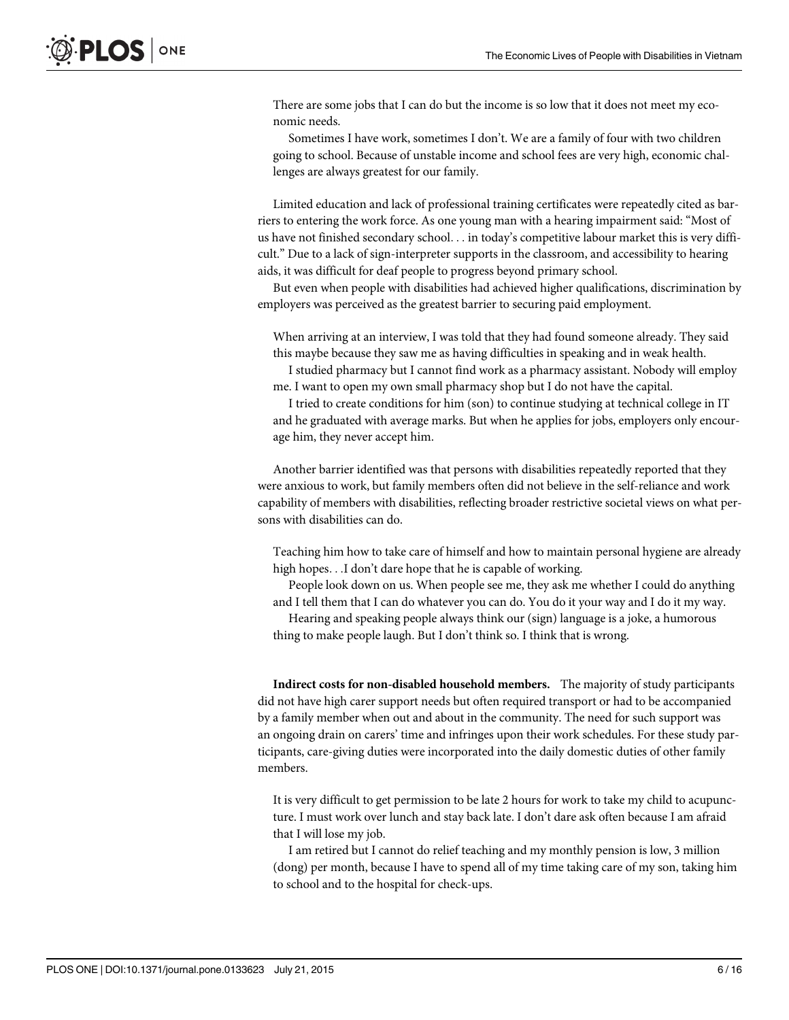There are some jobs that I can do but the income is so low that it does not meet my economic needs.

Sometimes I have work, sometimes I don't. We are a family of four with two children going to school. Because of unstable income and school fees are very high, economic challenges are always greatest for our family.

Limited education and lack of professional training certificates were repeatedly cited as barriers to entering the work force. As one young man with a hearing impairment said: "Most of us have not finished secondary school... in today's competitive labour market this is very difficult." Due to a lack of sign-interpreter supports in the classroom, and accessibility to hearing aids, it was difficult for deaf people to progress beyond primary school.

But even when people with disabilities had achieved higher qualifications, discrimination by employers was perceived as the greatest barrier to securing paid employment.

When arriving at an interview, I was told that they had found someone already. They said this maybe because they saw me as having difficulties in speaking and in weak health.

I studied pharmacy but I cannot find work as a pharmacy assistant. Nobody will employ me. I want to open my own small pharmacy shop but I do not have the capital.

I tried to create conditions for him (son) to continue studying at technical college in IT and he graduated with average marks. But when he applies for jobs, employers only encourage him, they never accept him.

Another barrier identified was that persons with disabilities repeatedly reported that they were anxious to work, but family members often did not believe in the self-reliance and work capability of members with disabilities, reflecting broader restrictive societal views on what persons with disabilities can do.

Teaching him how to take care of himself and how to maintain personal hygiene are already high hopes...I don't dare hope that he is capable of working.

People look down on us. When people see me, they ask me whether I could do anything and I tell them that I can do whatever you can do. You do it your way and I do it my way.

Hearing and speaking people always think our (sign) language is a joke, a humorous thing to make people laugh. But I don't think so. I think that is wrong.

Indirect costs for non-disabled household members. The majority of study participants did not have high carer support needs but often required transport or had to be accompanied by a family member when out and about in the community. The need for such support was an ongoing drain on carers' time and infringes upon their work schedules. For these study participants, care-giving duties were incorporated into the daily domestic duties of other family members.

It is very difficult to get permission to be late 2 hours for work to take my child to acupuncture. I must work over lunch and stay back late. I don't dare ask often because I am afraid that I will lose my job.

I am retired but I cannot do relief teaching and my monthly pension is low, 3 million (dong) per month, because I have to spend all of my time taking care of my son, taking him to school and to the hospital for check-ups.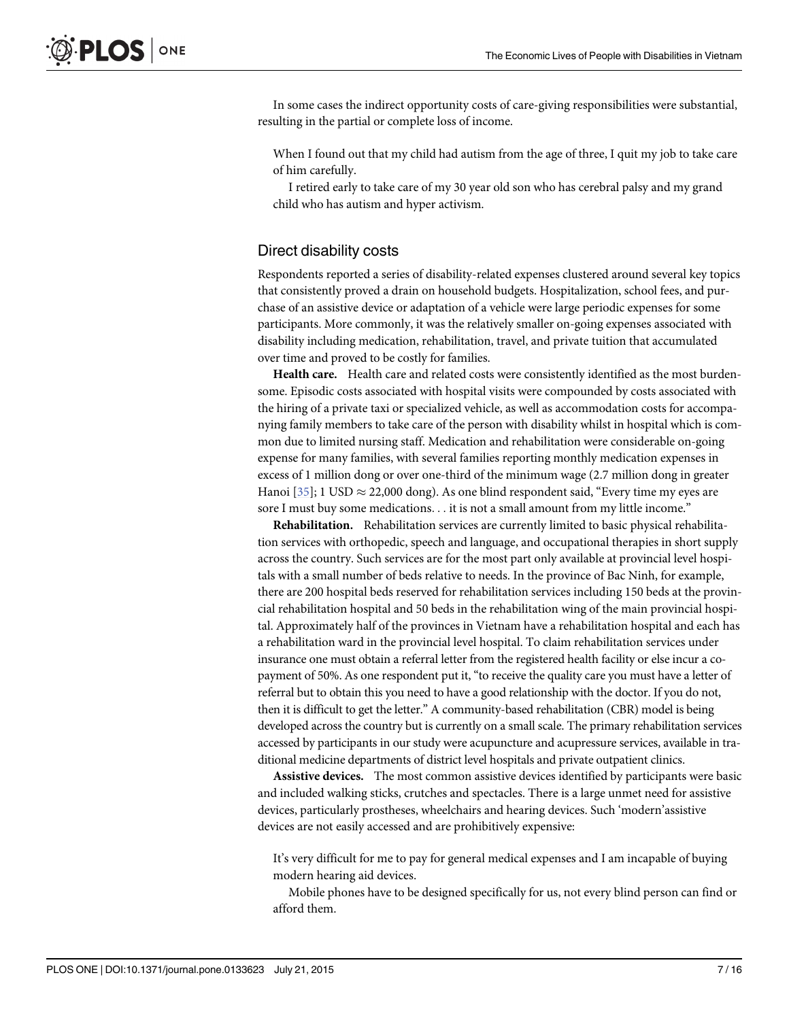<span id="page-6-0"></span>In some cases the indirect opportunity costs of care-giving responsibilities were substantial, resulting in the partial or complete loss of income.

When I found out that my child had autism from the age of three, I quit my job to take care of him carefully.

I retired early to take care of my 30 year old son who has cerebral palsy and my grand child who has autism and hyper activism.

#### Direct disability costs

Respondents reported a series of disability-related expenses clustered around several key topics that consistently proved a drain on household budgets. Hospitalization, school fees, and purchase of an assistive device or adaptation of a vehicle were large periodic expenses for some participants. More commonly, it was the relatively smaller on-going expenses associated with disability including medication, rehabilitation, travel, and private tuition that accumulated over time and proved to be costly for families.

Health care. Health care and related costs were consistently identified as the most burdensome. Episodic costs associated with hospital visits were compounded by costs associated with the hiring of a private taxi or specialized vehicle, as well as accommodation costs for accompanying family members to take care of the person with disability whilst in hospital which is common due to limited nursing staff. Medication and rehabilitation were considerable on-going expense for many families, with several families reporting monthly medication expenses in excess of 1 million dong or over one-third of the minimum wage (2.7 million dong in greater Hanoi [ $35$ ]; 1 USD  $\approx$  22,000 dong). As one blind respondent said, "Every time my eyes are sore I must buy some medications... it is not a small amount from my little income."

Rehabilitation. Rehabilitation services are currently limited to basic physical rehabilitation services with orthopedic, speech and language, and occupational therapies in short supply across the country. Such services are for the most part only available at provincial level hospitals with a small number of beds relative to needs. In the province of Bac Ninh, for example, there are 200 hospital beds reserved for rehabilitation services including 150 beds at the provincial rehabilitation hospital and 50 beds in the rehabilitation wing of the main provincial hospital. Approximately half of the provinces in Vietnam have a rehabilitation hospital and each has a rehabilitation ward in the provincial level hospital. To claim rehabilitation services under insurance one must obtain a referral letter from the registered health facility or else incur a copayment of 50%. As one respondent put it, "to receive the quality care you must have a letter of referral but to obtain this you need to have a good relationship with the doctor. If you do not, then it is difficult to get the letter." A community-based rehabilitation (CBR) model is being developed across the country but is currently on a small scale. The primary rehabilitation services accessed by participants in our study were acupuncture and acupressure services, available in traditional medicine departments of district level hospitals and private outpatient clinics.

Assistive devices. The most common assistive devices identified by participants were basic and included walking sticks, crutches and spectacles. There is a large unmet need for assistive devices, particularly prostheses, wheelchairs and hearing devices. Such 'modern'assistive devices are not easily accessed and are prohibitively expensive:

It's very difficult for me to pay for general medical expenses and I am incapable of buying modern hearing aid devices.

Mobile phones have to be designed specifically for us, not every blind person can find or afford them.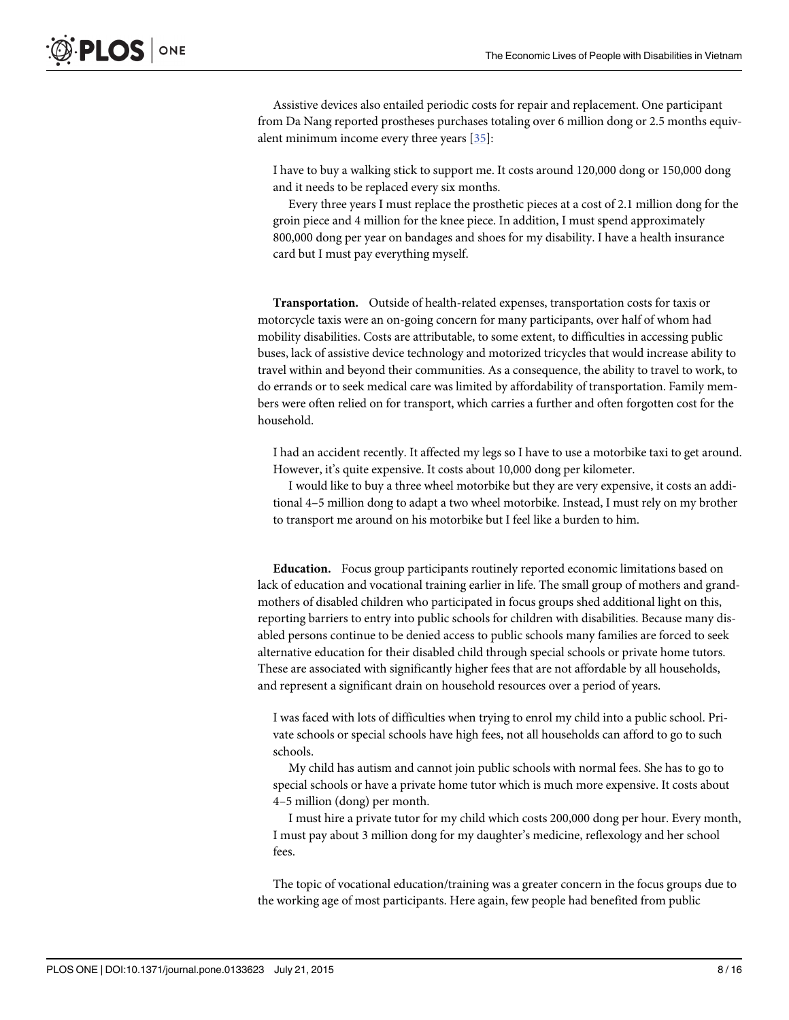Assistive devices also entailed periodic costs for repair and replacement. One participant from Da Nang reported prostheses purchases totaling over 6 million dong or 2.5 months equivalent minimum income every three years [[35](#page-15-0)]:

I have to buy a walking stick to support me. It costs around 120,000 dong or 150,000 dong and it needs to be replaced every six months.

Every three years I must replace the prosthetic pieces at a cost of 2.1 million dong for the groin piece and 4 million for the knee piece. In addition, I must spend approximately 800,000 dong per year on bandages and shoes for my disability. I have a health insurance card but I must pay everything myself.

Transportation. Outside of health-related expenses, transportation costs for taxis or motorcycle taxis were an on-going concern for many participants, over half of whom had mobility disabilities. Costs are attributable, to some extent, to difficulties in accessing public buses, lack of assistive device technology and motorized tricycles that would increase ability to travel within and beyond their communities. As a consequence, the ability to travel to work, to do errands or to seek medical care was limited by affordability of transportation. Family members were often relied on for transport, which carries a further and often forgotten cost for the household.

I had an accident recently. It affected my legs so I have to use a motorbike taxi to get around. However, it's quite expensive. It costs about 10,000 dong per kilometer.

I would like to buy a three wheel motorbike but they are very expensive, it costs an additional 4–5 million dong to adapt a two wheel motorbike. Instead, I must rely on my brother to transport me around on his motorbike but I feel like a burden to him.

Education. Focus group participants routinely reported economic limitations based on lack of education and vocational training earlier in life. The small group of mothers and grandmothers of disabled children who participated in focus groups shed additional light on this, reporting barriers to entry into public schools for children with disabilities. Because many disabled persons continue to be denied access to public schools many families are forced to seek alternative education for their disabled child through special schools or private home tutors. These are associated with significantly higher fees that are not affordable by all households, and represent a significant drain on household resources over a period of years.

I was faced with lots of difficulties when trying to enrol my child into a public school. Private schools or special schools have high fees, not all households can afford to go to such schools.

My child has autism and cannot join public schools with normal fees. She has to go to special schools or have a private home tutor which is much more expensive. It costs about 4–5 million (dong) per month.

I must hire a private tutor for my child which costs 200,000 dong per hour. Every month, I must pay about 3 million dong for my daughter's medicine, reflexology and her school fees.

The topic of vocational education/training was a greater concern in the focus groups due to the working age of most participants. Here again, few people had benefited from public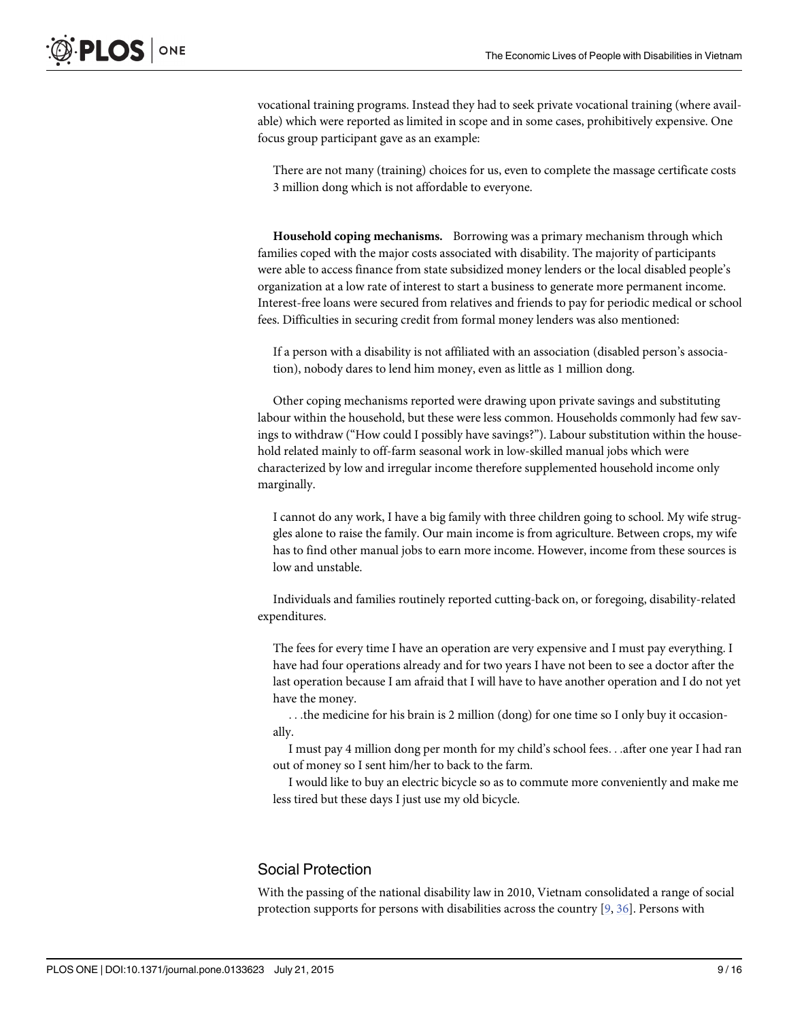<span id="page-8-0"></span>vocational training programs. Instead they had to seek private vocational training (where available) which were reported as limited in scope and in some cases, prohibitively expensive. One focus group participant gave as an example:

There are not many (training) choices for us, even to complete the massage certificate costs 3 million dong which is not affordable to everyone.

Household coping mechanisms. Borrowing was a primary mechanism through which families coped with the major costs associated with disability. The majority of participants were able to access finance from state subsidized money lenders or the local disabled people's organization at a low rate of interest to start a business to generate more permanent income. Interest-free loans were secured from relatives and friends to pay for periodic medical or school fees. Difficulties in securing credit from formal money lenders was also mentioned:

If a person with a disability is not affiliated with an association (disabled person's association), nobody dares to lend him money, even as little as 1 million dong.

Other coping mechanisms reported were drawing upon private savings and substituting labour within the household, but these were less common. Households commonly had few savings to withdraw ("How could I possibly have savings?"). Labour substitution within the household related mainly to off-farm seasonal work in low-skilled manual jobs which were characterized by low and irregular income therefore supplemented household income only marginally.

I cannot do any work, I have a big family with three children going to school. My wife struggles alone to raise the family. Our main income is from agriculture. Between crops, my wife has to find other manual jobs to earn more income. However, income from these sources is low and unstable.

Individuals and families routinely reported cutting-back on, or foregoing, disability-related expenditures.

The fees for every time I have an operation are very expensive and I must pay everything. I have had four operations already and for two years I have not been to see a doctor after the last operation because I am afraid that I will have to have another operation and I do not yet have the money.

...the medicine for his brain is 2 million (dong) for one time so I only buy it occasionally.

I must pay 4 million dong per month for my child's school fees...after one year I had ran out of money so I sent him/her to back to the farm.

I would like to buy an electric bicycle so as to commute more conveniently and make me less tired but these days I just use my old bicycle.

# Social Protection

With the passing of the national disability law in 2010, Vietnam consolidated a range of social protection supports for persons with disabilities across the country [\[9](#page-14-0), [36](#page-15-0)]. Persons with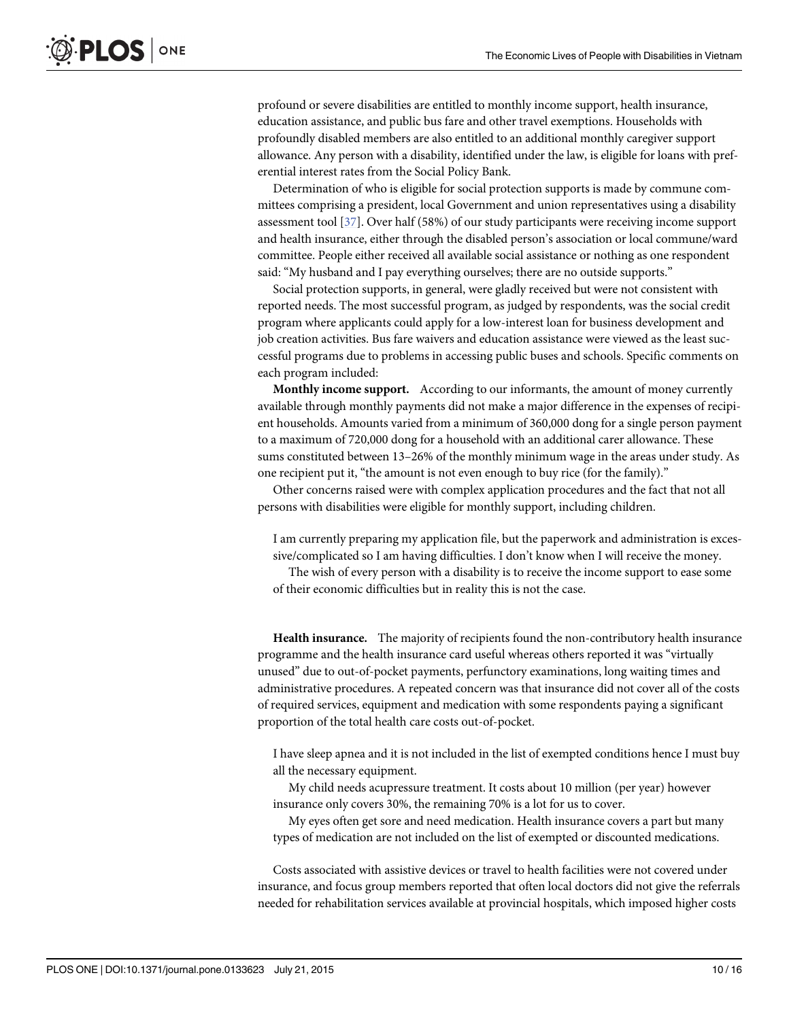<span id="page-9-0"></span>profound or severe disabilities are entitled to monthly income support, health insurance, education assistance, and public bus fare and other travel exemptions. Households with profoundly disabled members are also entitled to an additional monthly caregiver support allowance. Any person with a disability, identified under the law, is eligible for loans with preferential interest rates from the Social Policy Bank.

Determination of who is eligible for social protection supports is made by commune committees comprising a president, local Government and union representatives using a disability assessment tool [\[37\]](#page-15-0). Over half (58%) of our study participants were receiving income support and health insurance, either through the disabled person's association or local commune/ward committee. People either received all available social assistance or nothing as one respondent said: "My husband and I pay everything ourselves; there are no outside supports."

Social protection supports, in general, were gladly received but were not consistent with reported needs. The most successful program, as judged by respondents, was the social credit program where applicants could apply for a low-interest loan for business development and job creation activities. Bus fare waivers and education assistance were viewed as the least successful programs due to problems in accessing public buses and schools. Specific comments on each program included:

Monthly income support. According to our informants, the amount of money currently available through monthly payments did not make a major difference in the expenses of recipient households. Amounts varied from a minimum of 360,000 dong for a single person payment to a maximum of 720,000 dong for a household with an additional carer allowance. These sums constituted between 13–26% of the monthly minimum wage in the areas under study. As one recipient put it, "the amount is not even enough to buy rice (for the family)."

Other concerns raised were with complex application procedures and the fact that not all persons with disabilities were eligible for monthly support, including children.

I am currently preparing my application file, but the paperwork and administration is excessive/complicated so I am having difficulties. I don't know when I will receive the money.

The wish of every person with a disability is to receive the income support to ease some of their economic difficulties but in reality this is not the case.

Health insurance. The majority of recipients found the non-contributory health insurance programme and the health insurance card useful whereas others reported it was "virtually unused" due to out-of-pocket payments, perfunctory examinations, long waiting times and administrative procedures. A repeated concern was that insurance did not cover all of the costs of required services, equipment and medication with some respondents paying a significant proportion of the total health care costs out-of-pocket.

I have sleep apnea and it is not included in the list of exempted conditions hence I must buy all the necessary equipment.

My child needs acupressure treatment. It costs about 10 million (per year) however insurance only covers 30%, the remaining 70% is a lot for us to cover.

My eyes often get sore and need medication. Health insurance covers a part but many types of medication are not included on the list of exempted or discounted medications.

Costs associated with assistive devices or travel to health facilities were not covered under insurance, and focus group members reported that often local doctors did not give the referrals needed for rehabilitation services available at provincial hospitals, which imposed higher costs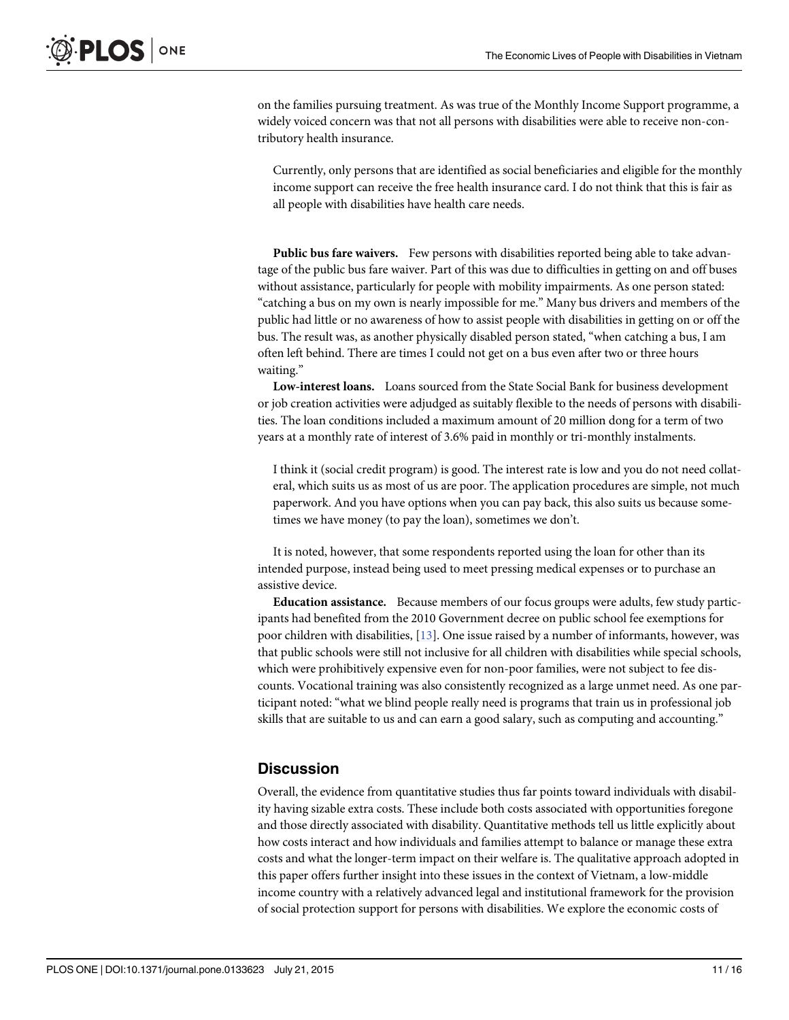on the families pursuing treatment. As was true of the Monthly Income Support programme, a widely voiced concern was that not all persons with disabilities were able to receive non-contributory health insurance.

Currently, only persons that are identified as social beneficiaries and eligible for the monthly income support can receive the free health insurance card. I do not think that this is fair as all people with disabilities have health care needs.

Public bus fare waivers. Few persons with disabilities reported being able to take advantage of the public bus fare waiver. Part of this was due to difficulties in getting on and off buses without assistance, particularly for people with mobility impairments. As one person stated: "catching a bus on my own is nearly impossible for me." Many bus drivers and members of the public had little or no awareness of how to assist people with disabilities in getting on or off the bus. The result was, as another physically disabled person stated, "when catching a bus, I am often left behind. There are times I could not get on a bus even after two or three hours waiting."

Low-interest loans. Loans sourced from the State Social Bank for business development or job creation activities were adjudged as suitably flexible to the needs of persons with disabilities. The loan conditions included a maximum amount of 20 million dong for a term of two years at a monthly rate of interest of 3.6% paid in monthly or tri-monthly instalments.

I think it (social credit program) is good. The interest rate is low and you do not need collateral, which suits us as most of us are poor. The application procedures are simple, not much paperwork. And you have options when you can pay back, this also suits us because sometimes we have money (to pay the loan), sometimes we don't.

It is noted, however, that some respondents reported using the loan for other than its intended purpose, instead being used to meet pressing medical expenses or to purchase an assistive device.

Education assistance. Because members of our focus groups were adults, few study participants had benefited from the 2010 Government decree on public school fee exemptions for poor children with disabilities, [\[13\]](#page-14-0). One issue raised by a number of informants, however, was that public schools were still not inclusive for all children with disabilities while special schools, which were prohibitively expensive even for non-poor families, were not subject to fee discounts. Vocational training was also consistently recognized as a large unmet need. As one participant noted: "what we blind people really need is programs that train us in professional job skills that are suitable to us and can earn a good salary, such as computing and accounting."

# **Discussion**

Overall, the evidence from quantitative studies thus far points toward individuals with disability having sizable extra costs. These include both costs associated with opportunities foregone and those directly associated with disability. Quantitative methods tell us little explicitly about how costs interact and how individuals and families attempt to balance or manage these extra costs and what the longer-term impact on their welfare is. The qualitative approach adopted in this paper offers further insight into these issues in the context of Vietnam, a low-middle income country with a relatively advanced legal and institutional framework for the provision of social protection support for persons with disabilities. We explore the economic costs of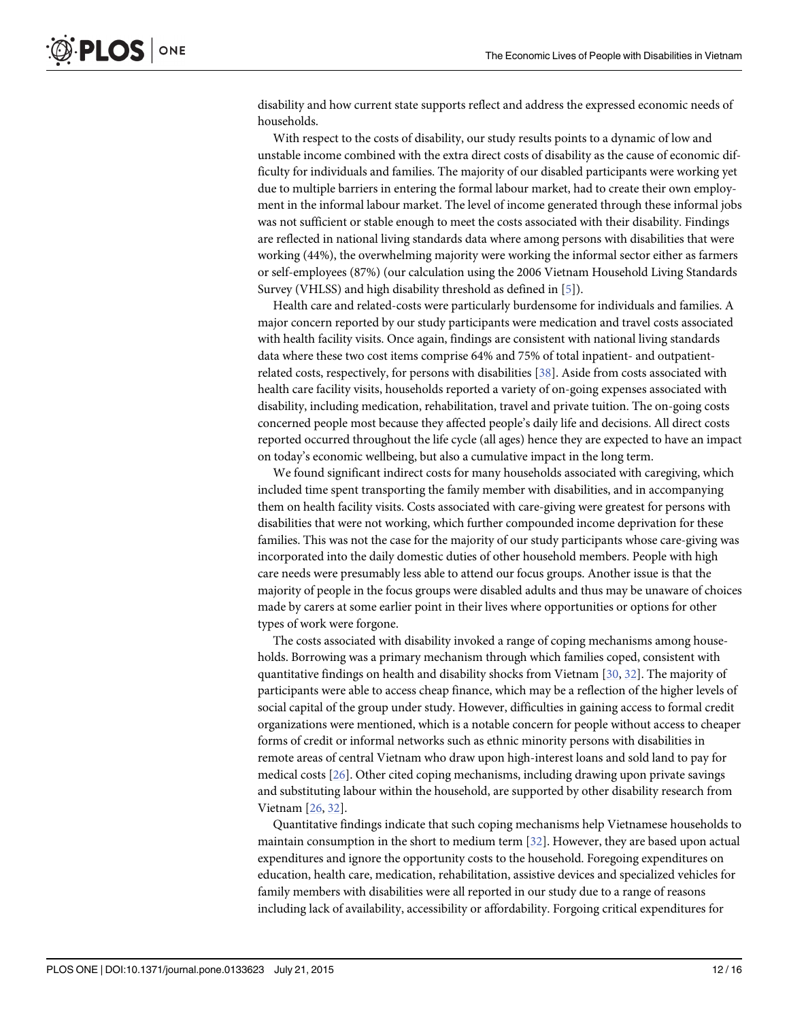<span id="page-11-0"></span>disability and how current state supports reflect and address the expressed economic needs of households.

With respect to the costs of disability, our study results points to a dynamic of low and unstable income combined with the extra direct costs of disability as the cause of economic difficulty for individuals and families. The majority of our disabled participants were working yet due to multiple barriers in entering the formal labour market, had to create their own employment in the informal labour market. The level of income generated through these informal jobs was not sufficient or stable enough to meet the costs associated with their disability. Findings are reflected in national living standards data where among persons with disabilities that were working (44%), the overwhelming majority were working the informal sector either as farmers or self-employees (87%) (our calculation using the 2006 Vietnam Household Living Standards Survey (VHLSS) and high disability threshold as defined in [[5\]](#page-14-0)).

Health care and related-costs were particularly burdensome for individuals and families. A major concern reported by our study participants were medication and travel costs associated with health facility visits. Once again, findings are consistent with national living standards data where these two cost items comprise 64% and 75% of total inpatient- and outpatientrelated costs, respectively, for persons with disabilities [\[38\]](#page-15-0). Aside from costs associated with health care facility visits, households reported a variety of on-going expenses associated with disability, including medication, rehabilitation, travel and private tuition. The on-going costs concerned people most because they affected people's daily life and decisions. All direct costs reported occurred throughout the life cycle (all ages) hence they are expected to have an impact on today's economic wellbeing, but also a cumulative impact in the long term.

We found significant indirect costs for many households associated with caregiving, which included time spent transporting the family member with disabilities, and in accompanying them on health facility visits. Costs associated with care-giving were greatest for persons with disabilities that were not working, which further compounded income deprivation for these families. This was not the case for the majority of our study participants whose care-giving was incorporated into the daily domestic duties of other household members. People with high care needs were presumably less able to attend our focus groups. Another issue is that the majority of people in the focus groups were disabled adults and thus may be unaware of choices made by carers at some earlier point in their lives where opportunities or options for other types of work were forgone.

The costs associated with disability invoked a range of coping mechanisms among households. Borrowing was a primary mechanism through which families coped, consistent with quantitative findings on health and disability shocks from Vietnam [[30](#page-15-0), [32](#page-15-0)]. The majority of participants were able to access cheap finance, which may be a reflection of the higher levels of social capital of the group under study. However, difficulties in gaining access to formal credit organizations were mentioned, which is a notable concern for people without access to cheaper forms of credit or informal networks such as ethnic minority persons with disabilities in remote areas of central Vietnam who draw upon high-interest loans and sold land to pay for medical costs [[26](#page-15-0)]. Other cited coping mechanisms, including drawing upon private savings and substituting labour within the household, are supported by other disability research from Vietnam [\[26,](#page-15-0) [32\]](#page-15-0).

Quantitative findings indicate that such coping mechanisms help Vietnamese households to maintain consumption in the short to medium term [[32](#page-15-0)]. However, they are based upon actual expenditures and ignore the opportunity costs to the household. Foregoing expenditures on education, health care, medication, rehabilitation, assistive devices and specialized vehicles for family members with disabilities were all reported in our study due to a range of reasons including lack of availability, accessibility or affordability. Forgoing critical expenditures for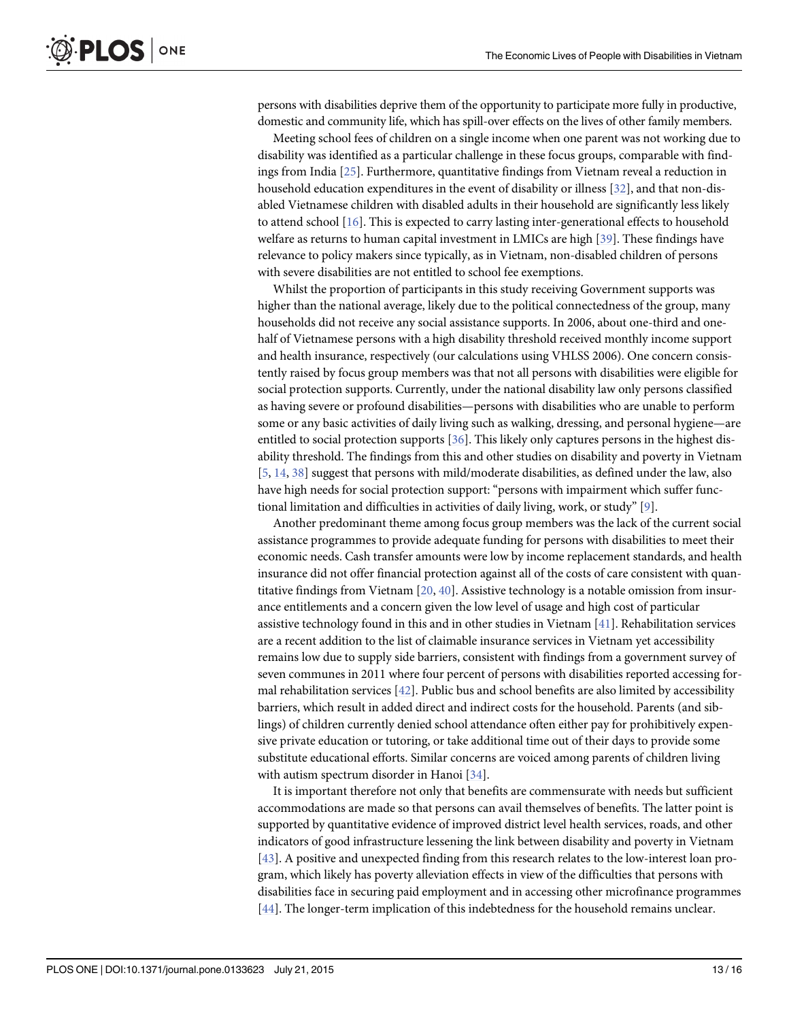<span id="page-12-0"></span>persons with disabilities deprive them of the opportunity to participate more fully in productive, domestic and community life, which has spill-over effects on the lives of other family members.

Meeting school fees of children on a single income when one parent was not working due to disability was identified as a particular challenge in these focus groups, comparable with findings from India [[25\]](#page-15-0). Furthermore, quantitative findings from Vietnam reveal a reduction in household education expenditures in the event of disability or illness [\[32](#page-15-0)], and that non-disabled Vietnamese children with disabled adults in their household are significantly less likely to attend school [[16\]](#page-14-0). This is expected to carry lasting inter-generational effects to household welfare as returns to human capital investment in LMICs are high [[39](#page-15-0)]. These findings have relevance to policy makers since typically, as in Vietnam, non-disabled children of persons with severe disabilities are not entitled to school fee exemptions.

Whilst the proportion of participants in this study receiving Government supports was higher than the national average, likely due to the political connectedness of the group, many households did not receive any social assistance supports. In 2006, about one-third and onehalf of Vietnamese persons with a high disability threshold received monthly income support and health insurance, respectively (our calculations using VHLSS 2006). One concern consistently raised by focus group members was that not all persons with disabilities were eligible for social protection supports. Currently, under the national disability law only persons classified as having severe or profound disabilities—persons with disabilities who are unable to perform some or any basic activities of daily living such as walking, dressing, and personal hygiene—are entitled to social protection supports [[36](#page-15-0)]. This likely only captures persons in the highest disability threshold. The findings from this and other studies on disability and poverty in Vietnam [\[5](#page-14-0), [14](#page-14-0), [38](#page-15-0)] suggest that persons with mild/moderate disabilities, as defined under the law, also have high needs for social protection support: "persons with impairment which suffer functional limitation and difficulties in activities of daily living, work, or study" [\[9\]](#page-14-0).

Another predominant theme among focus group members was the lack of the current social assistance programmes to provide adequate funding for persons with disabilities to meet their economic needs. Cash transfer amounts were low by income replacement standards, and health insurance did not offer financial protection against all of the costs of care consistent with quantitative findings from Vietnam  $[20, 40]$  $[20, 40]$  $[20, 40]$  $[20, 40]$ . Assistive technology is a notable omission from insurance entitlements and a concern given the low level of usage and high cost of particular assistive technology found in this and in other studies in Vietnam [[41](#page-15-0)]. Rehabilitation services are a recent addition to the list of claimable insurance services in Vietnam yet accessibility remains low due to supply side barriers, consistent with findings from a government survey of seven communes in 2011 where four percent of persons with disabilities reported accessing formal rehabilitation services [\[42](#page-15-0)]. Public bus and school benefits are also limited by accessibility barriers, which result in added direct and indirect costs for the household. Parents (and siblings) of children currently denied school attendance often either pay for prohibitively expensive private education or tutoring, or take additional time out of their days to provide some substitute educational efforts. Similar concerns are voiced among parents of children living with autism spectrum disorder in Hanoi [[34](#page-15-0)].

It is important therefore not only that benefits are commensurate with needs but sufficient accommodations are made so that persons can avail themselves of benefits. The latter point is supported by quantitative evidence of improved district level health services, roads, and other indicators of good infrastructure lessening the link between disability and poverty in Vietnam [\[43](#page-15-0)]. A positive and unexpected finding from this research relates to the low-interest loan program, which likely has poverty alleviation effects in view of the difficulties that persons with disabilities face in securing paid employment and in accessing other microfinance programmes [\[44](#page-15-0)]. The longer-term implication of this indebtedness for the household remains unclear.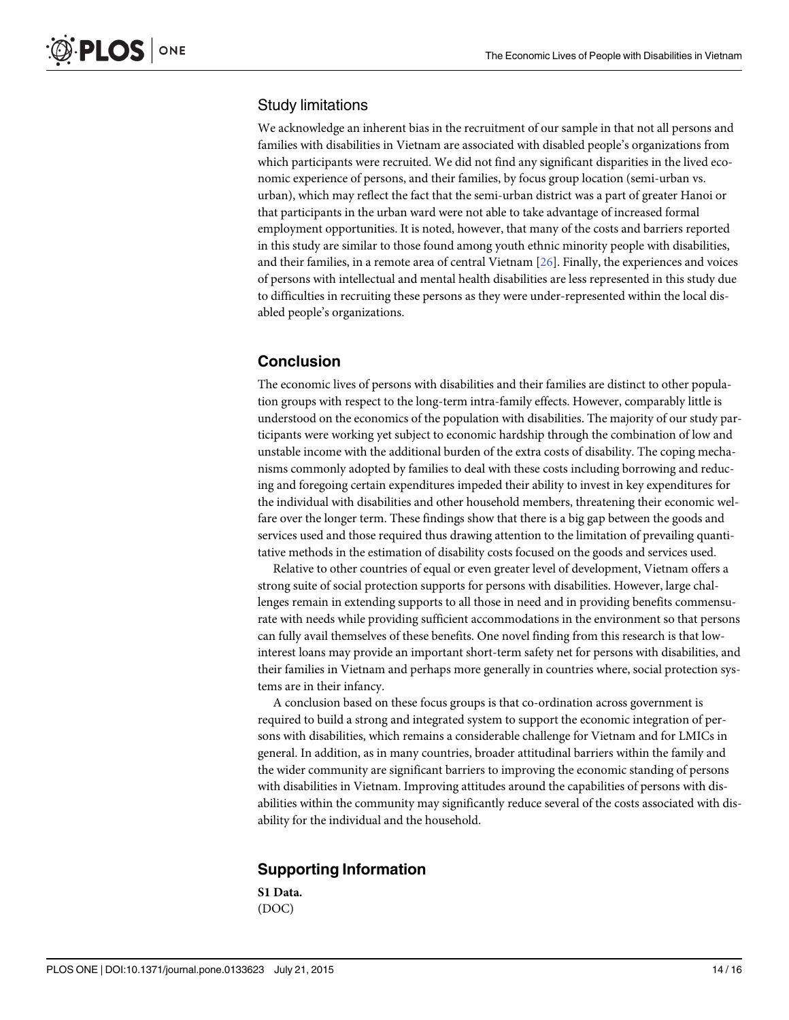#### Study limitations

We acknowledge an inherent bias in the recruitment of our sample in that not all persons and families with disabilities in Vietnam are associated with disabled people's organizations from which participants were recruited. We did not find any significant disparities in the lived economic experience of persons, and their families, by focus group location (semi-urban vs. urban), which may reflect the fact that the semi-urban district was a part of greater Hanoi or that participants in the urban ward were not able to take advantage of increased formal employment opportunities. It is noted, however, that many of the costs and barriers reported in this study are similar to those found among youth ethnic minority people with disabilities, and their families, in a remote area of central Vietnam [\[26](#page-15-0)]. Finally, the experiences and voices of persons with intellectual and mental health disabilities are less represented in this study due to difficulties in recruiting these persons as they were under-represented within the local disabled people's organizations.

# Conclusion

The economic lives of persons with disabilities and their families are distinct to other population groups with respect to the long-term intra-family effects. However, comparably little is understood on the economics of the population with disabilities. The majority of our study participants were working yet subject to economic hardship through the combination of low and unstable income with the additional burden of the extra costs of disability. The coping mechanisms commonly adopted by families to deal with these costs including borrowing and reducing and foregoing certain expenditures impeded their ability to invest in key expenditures for the individual with disabilities and other household members, threatening their economic welfare over the longer term. These findings show that there is a big gap between the goods and services used and those required thus drawing attention to the limitation of prevailing quantitative methods in the estimation of disability costs focused on the goods and services used.

Relative to other countries of equal or even greater level of development, Vietnam offers a strong suite of social protection supports for persons with disabilities. However, large challenges remain in extending supports to all those in need and in providing benefits commensurate with needs while providing sufficient accommodations in the environment so that persons can fully avail themselves of these benefits. One novel finding from this research is that lowinterest loans may provide an important short-term safety net for persons with disabilities, and their families in Vietnam and perhaps more generally in countries where, social protection systems are in their infancy.

A conclusion based on these focus groups is that co-ordination across government is required to build a strong and integrated system to support the economic integration of persons with disabilities, which remains a considerable challenge for Vietnam and for LMICs in general. In addition, as in many countries, broader attitudinal barriers within the family and the wider community are significant barriers to improving the economic standing of persons with disabilities in Vietnam. Improving attitudes around the capabilities of persons with disabilities within the community may significantly reduce several of the costs associated with disability for the individual and the household.

# Supporting Information

[S1 Data](http://www.plosone.org/article/fetchSingleRepresentation.action?uri=info:doi/10.1371/journal.pone.0133623.s001). (DOC)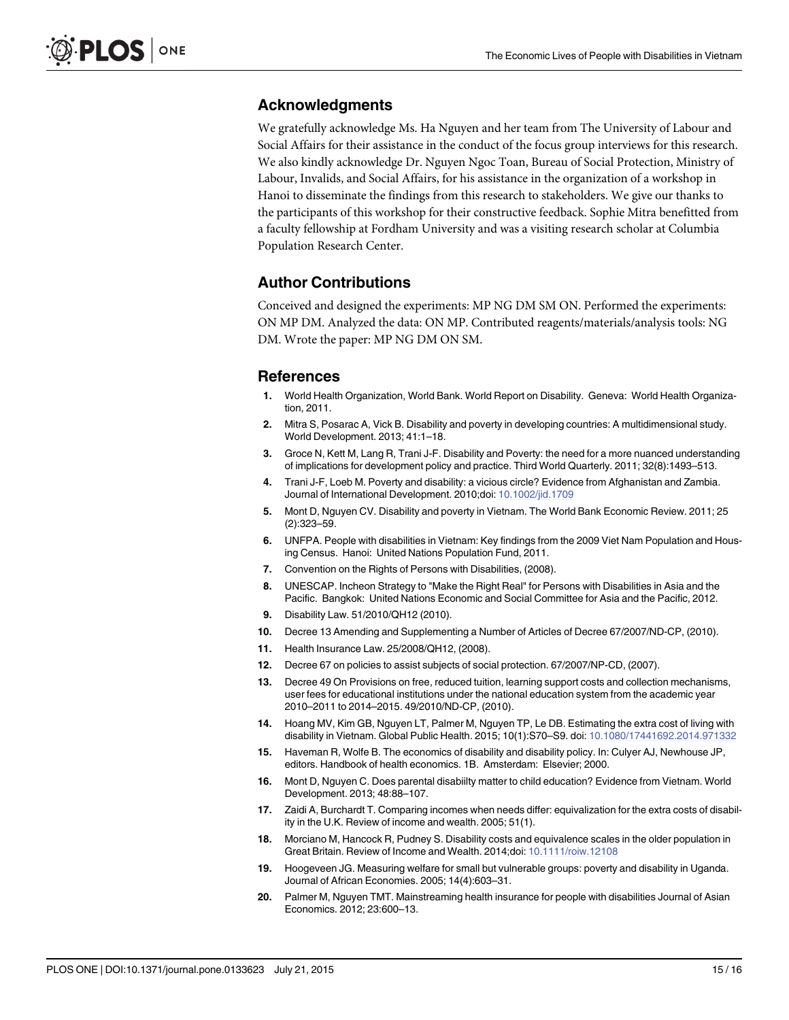# <span id="page-14-0"></span>Acknowledgments

We gratefully acknowledge Ms. Ha Nguyen and her team from The University of Labour and Social Affairs for their assistance in the conduct of the focus group interviews for this research. We also kindly acknowledge Dr. Nguyen Ngoc Toan, Bureau of Social Protection, Ministry of Labour, Invalids, and Social Affairs, for his assistance in the organization of a workshop in Hanoi to disseminate the findings from this research to stakeholders. We give our thanks to the participants of this workshop for their constructive feedback. Sophie Mitra benefitted from a faculty fellowship at Fordham University and was a visiting research scholar at Columbia Population Research Center.

### Author Contributions

Conceived and designed the experiments: MP NG DM SM ON. Performed the experiments: ON MP DM. Analyzed the data: ON MP. Contributed reagents/materials/analysis tools: NG DM. Wrote the paper: MP NG DM ON SM.

#### References

- [1.](#page-0-0) World Health Organization, World Bank. World Report on Disability. Geneva: World Health Organization, 2011.
- [2.](#page-0-0) Mitra S, Posarac A, Vick B. Disability and poverty in developing countries: A multidimensional study. World Development. 2013; 41:1–18.
- 3. Groce N, Kett M, Lang R, Trani J-F. Disability and Poverty: the need for a more nuanced understanding of implications for development policy and practice. Third World Quarterly. 2011; 32(8):1493–513.
- 4. Trani J-F, Loeb M. Poverty and disability: a vicious circle? Evidence from Afghanistan and Zambia. Journal of International Development. 2010;doi: [10.1002/jid.1709](http://dx.doi.org/10.1002/jid.1709)
- [5.](#page-0-0) Mont D, Nguyen CV. Disability and poverty in Vietnam. The World Bank Economic Review. 2011; 25 (2):323–59.
- [6.](#page-0-0) UNFPA. People with disabilities in Vietnam: Key findings from the 2009 Viet Nam Population and Housing Census. Hanoi: United Nations Population Fund, 2011.
- [7.](#page-1-0) Convention on the Rights of Persons with Disabilities, (2008).
- [8.](#page-1-0) UNESCAP. Incheon Strategy to "Make the Right Real" for Persons with Disabilities in Asia and the Pacific. Bangkok: United Nations Economic and Social Committee for Asia and the Pacific, 2012.
- [9.](#page-1-0) Disability Law. 51/2010/QH12 (2010).
- [10.](#page-1-0) Decree 13 Amending and Supplementing a Number of Articles of Decree 67/2007/ND-CP, (2010).
- 11. Health Insurance Law. 25/2008/QH12, (2008).
- 12. Decree 67 on policies to assist subjects of social protection. 67/2007/NP-CD, (2007).
- [13.](#page-1-0) Decree 49 On Provisions on free, reduced tuition, learning support costs and collection mechanisms, user fees for educational institutions under the national education system from the academic year 2010–2011 to 2014–2015. 49/2010/ND-CP, (2010).
- [14.](#page-1-0) Hoang MV, Kim GB, Nguyen LT, Palmer M, Nguyen TP, Le DB. Estimating the extra cost of living with disability in Vietnam. Global Public Health. 2015; 10(1):S70–S9. doi: [10.1080/17441692.2014.971332](http://dx.doi.org/10.1080/17441692.2014.971332)
- [15.](#page-1-0) Haveman R, Wolfe B. The economics of disability and disability policy. In: Culyer AJ, Newhouse JP, editors. Handbook of health economics. 1B. Amsterdam: Elsevier; 2000.
- [16.](#page-1-0) Mont D, Nguyen C. Does parental disabiilty matter to child education? Evidence from Vietnam. World Development. 2013; 48:88–107.
- [17.](#page-2-0) Zaidi A, Burchardt T. Comparing incomes when needs differ: equivalization for the extra costs of disability in the U.K. Review of income and wealth. 2005; 51(1).
- [18.](#page-2-0) Morciano M, Hancock R, Pudney S. Disability costs and equivalence scales in the older population in Great Britain. Review of Income and Wealth. 2014;doi: [10.1111/roiw.12108](http://dx.doi.org/10.1111/roiw.12108)
- [19.](#page-1-0) Hoogeveen JG. Measuring welfare for small but vulnerable groups: poverty and disability in Uganda. Journal of African Economies. 2005; 14(4):603–31.
- [20.](#page-1-0) Palmer M, Nguyen TMT. Mainstreaming health insurance for people with disabilities Journal of Asian Economics. 2012; 23:600–13.